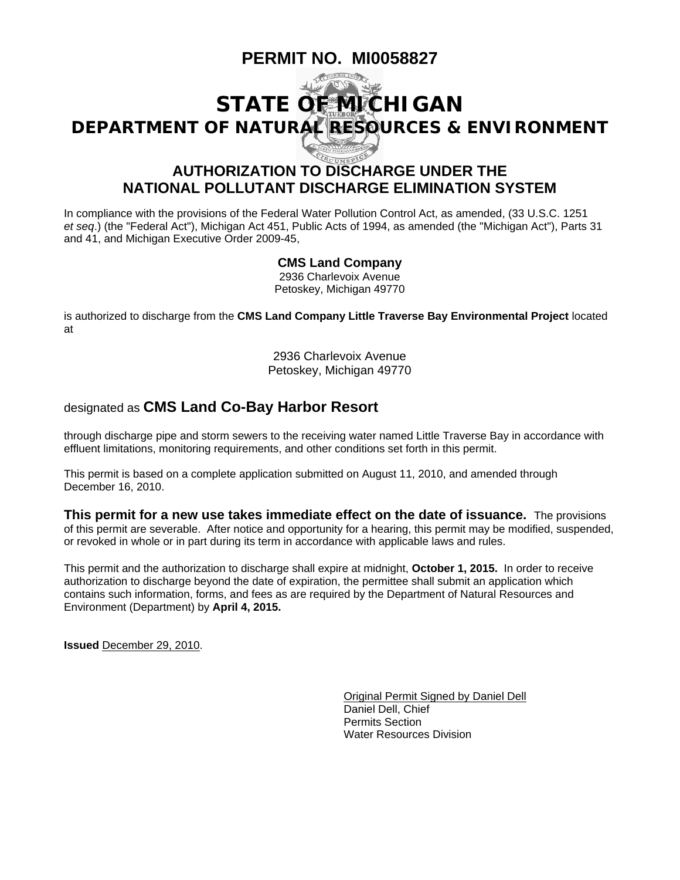# **PERMIT NO. MI0058827**



# **NATIONAL POLLUTANT DISCHARGE ELIMINATION SYSTEM**

In compliance with the provisions of the Federal Water Pollution Control Act, as amended, (33 U.S.C. 1251 *et seq*.) (the "Federal Act"), Michigan Act 451, Public Acts of 1994, as amended (the "Michigan Act"), Parts 31 and 41, and Michigan Executive Order 2009-45,

#### **CMS Land Company**

2936 Charlevoix Avenue Petoskey, Michigan 49770

is authorized to discharge from the **CMS Land Company Little Traverse Bay Environmental Project** located at

> 2936 Charlevoix Avenue Petoskey, Michigan 49770

#### designated as **CMS Land Co-Bay Harbor Resort**

through discharge pipe and storm sewers to the receiving water named Little Traverse Bay in accordance with effluent limitations, monitoring requirements, and other conditions set forth in this permit.

This permit is based on a complete application submitted on August 11, 2010, and amended through December 16, 2010.

**This permit for a new use takes immediate effect on the date of issuance.** The provisions of this permit are severable. After notice and opportunity for a hearing, this permit may be modified, suspended, or revoked in whole or in part during its term in accordance with applicable laws and rules.

This permit and the authorization to discharge shall expire at midnight, **October 1, 2015.** In order to receive authorization to discharge beyond the date of expiration, the permittee shall submit an application which contains such information, forms, and fees as are required by the Department of Natural Resources and Environment (Department) by **April 4, 2015.**

**Issued** December 29, 2010.

 Original Permit Signed by Daniel Dell Daniel Dell, Chief Permits Section Water Resources Division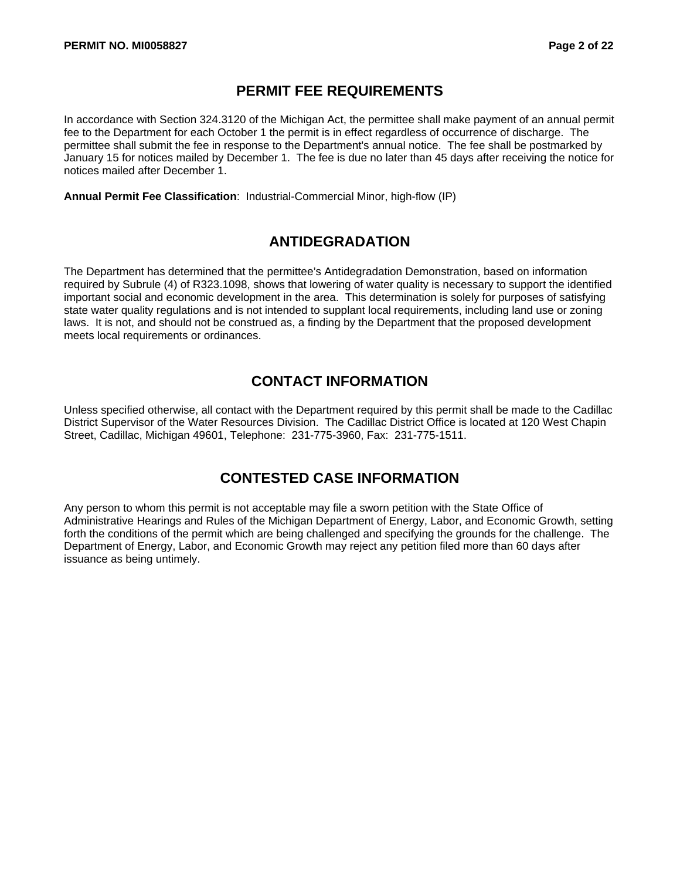#### **PERMIT FEE REQUIREMENTS**

In accordance with Section 324.3120 of the Michigan Act, the permittee shall make payment of an annual permit fee to the Department for each October 1 the permit is in effect regardless of occurrence of discharge. The permittee shall submit the fee in response to the Department's annual notice. The fee shall be postmarked by January 15 for notices mailed by December 1. The fee is due no later than 45 days after receiving the notice for notices mailed after December 1.

**Annual Permit Fee Classification**: Industrial-Commercial Minor, high-flow (IP)

#### **ANTIDEGRADATION**

The Department has determined that the permittee's Antidegradation Demonstration, based on information required by Subrule (4) of R323.1098, shows that lowering of water quality is necessary to support the identified important social and economic development in the area. This determination is solely for purposes of satisfying state water quality regulations and is not intended to supplant local requirements, including land use or zoning laws. It is not, and should not be construed as, a finding by the Department that the proposed development meets local requirements or ordinances.

### **CONTACT INFORMATION**

Unless specified otherwise, all contact with the Department required by this permit shall be made to the Cadillac District Supervisor of the Water Resources Division. The Cadillac District Office is located at 120 West Chapin Street, Cadillac, Michigan 49601, Telephone: 231-775-3960, Fax: 231-775-1511.

### **CONTESTED CASE INFORMATION**

Any person to whom this permit is not acceptable may file a sworn petition with the State Office of Administrative Hearings and Rules of the Michigan Department of Energy, Labor, and Economic Growth, setting forth the conditions of the permit which are being challenged and specifying the grounds for the challenge. The Department of Energy, Labor, and Economic Growth may reject any petition filed more than 60 days after issuance as being untimely.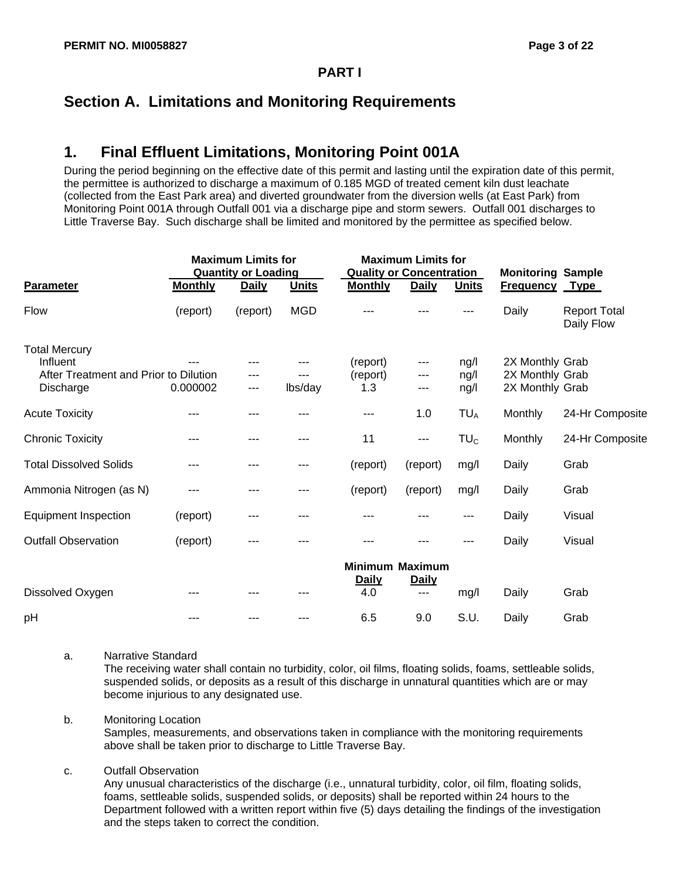### **Section A. Limitations and Monitoring Requirements**

# **1. Final Effluent Limitations, Monitoring Point 001A**

During the period beginning on the effective date of this permit and lasting until the expiration date of this permit, the permittee is authorized to discharge a maximum of 0.185 MGD of treated cement kiln dust leachate (collected from the East Park area) and diverted groundwater from the diversion wells (at East Park) from Monitoring Point 001A through Outfall 001 via a discharge pipe and storm sewers. Outfall 001 discharges to Little Traverse Bay. Such discharge shall be limited and monitored by the permittee as specified below.

|                                                                                        |                | <b>Maximum Limits for</b><br><b>Quantity or Loading</b> |              | <b>Maximum Limits for</b><br><b>Quality or Concentration</b> |                   |                      | <b>Monitoring Sample</b>                              |                                   |
|----------------------------------------------------------------------------------------|----------------|---------------------------------------------------------|--------------|--------------------------------------------------------------|-------------------|----------------------|-------------------------------------------------------|-----------------------------------|
| <b>Parameter</b>                                                                       | <b>Monthly</b> | <b>Daily</b>                                            | <b>Units</b> | <b>Monthly</b>                                               | <b>Daily</b>      | <b>Units</b>         | <b>Frequency</b>                                      | <b>Type</b>                       |
| <b>Flow</b>                                                                            | (report)       | (report)                                                | <b>MGD</b>   |                                                              |                   | ---                  | Daily                                                 | <b>Report Total</b><br>Daily Flow |
| <b>Total Mercury</b><br>Influent<br>After Treatment and Prior to Dilution<br>Discharge | 0.000002       | ---                                                     | lbs/day      | (report)<br>(report)<br>1.3                                  | ---<br>---<br>--- | ng/l<br>ng/l<br>ng/l | 2X Monthly Grab<br>2X Monthly Grab<br>2X Monthly Grab |                                   |
| <b>Acute Toxicity</b>                                                                  | ---            | ---                                                     |              | ---                                                          | 1.0               | TU <sub>A</sub>      | Monthly                                               | 24-Hr Composite                   |
| <b>Chronic Toxicity</b>                                                                | ---            | ---                                                     | ---          | 11                                                           | ---               | TU <sub>c</sub>      | <b>Monthly</b>                                        | 24-Hr Composite                   |
| <b>Total Dissolved Solids</b>                                                          | ---            | ---                                                     | ---          | (report)                                                     | (report)          | mg/l                 | Daily                                                 | Grab                              |
| Ammonia Nitrogen (as N)                                                                | ---            |                                                         | ---          | (report)                                                     | (report)          | mg/l                 | Daily                                                 | Grab                              |
| <b>Equipment Inspection</b>                                                            | (report)       | ---                                                     | ---          |                                                              |                   | ---                  | Daily                                                 | Visual                            |
| <b>Outfall Observation</b>                                                             | (report)       | ---                                                     |              |                                                              |                   | ---                  | Daily                                                 | Visual                            |
|                                                                                        |                |                                                         |              | <b>Minimum Maximum</b><br><b>Daily</b>                       | <b>Daily</b>      |                      |                                                       |                                   |
| Dissolved Oxygen                                                                       |                |                                                         |              | 4.0                                                          | $---$             | mg/l                 | Daily                                                 | Grab                              |
| pH                                                                                     |                |                                                         |              | 6.5                                                          | 9.0               | S.U.                 | Daily                                                 | Grab                              |

#### a. Narrative Standard

The receiving water shall contain no turbidity, color, oil films, floating solids, foams, settleable solids, suspended solids, or deposits as a result of this discharge in unnatural quantities which are or may become injurious to any designated use.

#### b. Monitoring Location

Samples, measurements, and observations taken in compliance with the monitoring requirements above shall be taken prior to discharge to Little Traverse Bay.

#### c. Outfall Observation

Any unusual characteristics of the discharge (i.e., unnatural turbidity, color, oil film, floating solids, foams, settleable solids, suspended solids, or deposits) shall be reported within 24 hours to the Department followed with a written report within five (5) days detailing the findings of the investigation and the steps taken to correct the condition.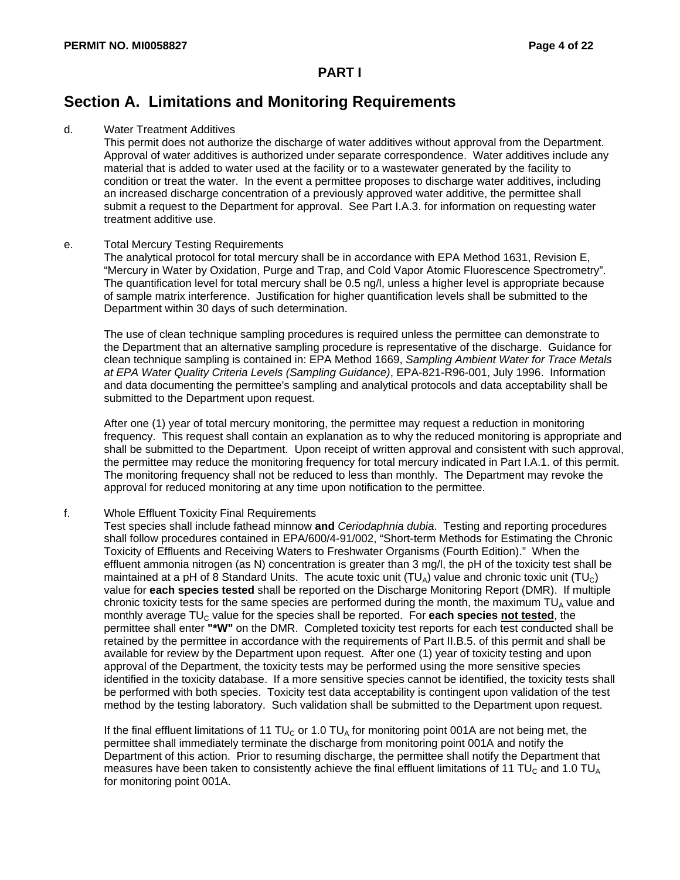### **Section A. Limitations and Monitoring Requirements**

#### d. Water Treatment Additives

This permit does not authorize the discharge of water additives without approval from the Department. Approval of water additives is authorized under separate correspondence. Water additives include any material that is added to water used at the facility or to a wastewater generated by the facility to condition or treat the water. In the event a permittee proposes to discharge water additives, including an increased discharge concentration of a previously approved water additive, the permittee shall submit a request to the Department for approval. See Part I.A.3. for information on requesting water treatment additive use.

#### e. Total Mercury Testing Requirements

The analytical protocol for total mercury shall be in accordance with EPA Method 1631, Revision E, "Mercury in Water by Oxidation, Purge and Trap, and Cold Vapor Atomic Fluorescence Spectrometry". The quantification level for total mercury shall be 0.5 ng/l, unless a higher level is appropriate because of sample matrix interference. Justification for higher quantification levels shall be submitted to the Department within 30 days of such determination.

The use of clean technique sampling procedures is required unless the permittee can demonstrate to the Department that an alternative sampling procedure is representative of the discharge. Guidance for clean technique sampling is contained in: EPA Method 1669, *Sampling Ambient Water for Trace Metals at EPA Water Quality Criteria Levels (Sampling Guidance)*, EPA-821-R96-001, July 1996. Information and data documenting the permittee's sampling and analytical protocols and data acceptability shall be submitted to the Department upon request.

After one (1) year of total mercury monitoring, the permittee may request a reduction in monitoring frequency. This request shall contain an explanation as to why the reduced monitoring is appropriate and shall be submitted to the Department. Upon receipt of written approval and consistent with such approval, the permittee may reduce the monitoring frequency for total mercury indicated in Part I.A.1. of this permit. The monitoring frequency shall not be reduced to less than monthly. The Department may revoke the approval for reduced monitoring at any time upon notification to the permittee.

#### f. Whole Effluent Toxicity Final Requirements

Test species shall include fathead minnow **and** *Ceriodaphnia dubia*. Testing and reporting procedures shall follow procedures contained in EPA/600/4-91/002, "Short-term Methods for Estimating the Chronic Toxicity of Effluents and Receiving Waters to Freshwater Organisms (Fourth Edition)." When the effluent ammonia nitrogen (as N) concentration is greater than 3 mg/l, the pH of the toxicity test shall be maintained at a pH of 8 Standard Units. The acute toxic unit  $(TU_A)$  value and chronic toxic unit  $(TU_C)$ value for **each species tested** shall be reported on the Discharge Monitoring Report (DMR). If multiple chronic toxicity tests for the same species are performed during the month, the maximum  $TU<sub>A</sub>$  value and monthly average TU<sub>C</sub> value for the species shall be reported. For each species not tested, the permittee shall enter **"\*W"** on the DMR. Completed toxicity test reports for each test conducted shall be retained by the permittee in accordance with the requirements of Part II.B.5. of this permit and shall be available for review by the Department upon request. After one (1) year of toxicity testing and upon approval of the Department, the toxicity tests may be performed using the more sensitive species identified in the toxicity database. If a more sensitive species cannot be identified, the toxicity tests shall be performed with both species. Toxicity test data acceptability is contingent upon validation of the test method by the testing laboratory. Such validation shall be submitted to the Department upon request.

If the final effluent limitations of 11 TU<sub>C</sub> or 1.0 TU<sub>A</sub> for monitoring point 001A are not being met, the permittee shall immediately terminate the discharge from monitoring point 001A and notify the Department of this action. Prior to resuming discharge, the permittee shall notify the Department that measures have been taken to consistently achieve the final effluent limitations of 11 TU<sub>C</sub> and 1.0 TU<sub>A</sub> for monitoring point 001A.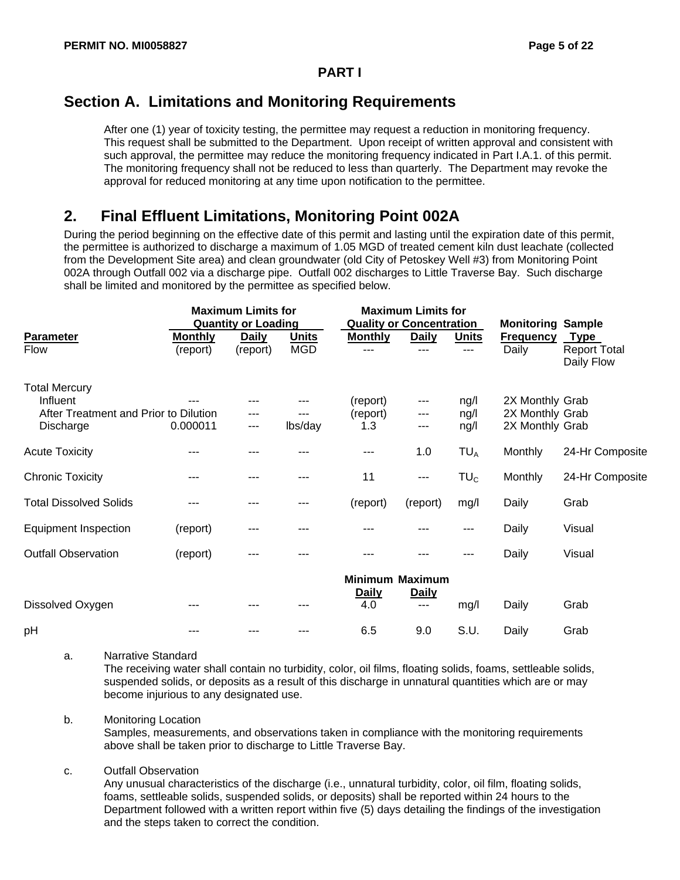### **Section A. Limitations and Monitoring Requirements**

After one (1) year of toxicity testing, the permittee may request a reduction in monitoring frequency. This request shall be submitted to the Department. Upon receipt of written approval and consistent with such approval, the permittee may reduce the monitoring frequency indicated in Part I.A.1. of this permit. The monitoring frequency shall not be reduced to less than quarterly. The Department may revoke the approval for reduced monitoring at any time upon notification to the permittee.

### **2. Final Effluent Limitations, Monitoring Point 002A**

During the period beginning on the effective date of this permit and lasting until the expiration date of this permit, the permittee is authorized to discharge a maximum of 1.05 MGD of treated cement kiln dust leachate (collected from the Development Site area) and clean groundwater (old City of Petoskey Well #3) from Monitoring Point 002A through Outfall 002 via a discharge pipe. Outfall 002 discharges to Little Traverse Bay. Such discharge shall be limited and monitored by the permittee as specified below.

|                                       |                | <b>Maximum Limits for</b>  |              | <b>Maximum Limits for</b>       |                       |                          |                  |                                   |
|---------------------------------------|----------------|----------------------------|--------------|---------------------------------|-----------------------|--------------------------|------------------|-----------------------------------|
|                                       |                | <b>Quantity or Loading</b> |              | <b>Quality or Concentration</b> |                       | <b>Monitoring Sample</b> |                  |                                   |
| <b>Parameter</b>                      | <b>Monthly</b> | <b>Daily</b>               | <b>Units</b> | <b>Monthly</b>                  | <b>Daily</b>          | <b>Units</b>             | <b>Frequency</b> | <u>Type</u>                       |
| Flow                                  | (report)       | (report)                   | <b>MGD</b>   | ---                             | ---                   | ---                      | Daily            | <b>Report Total</b><br>Daily Flow |
| <b>Total Mercury</b>                  |                |                            |              |                                 |                       |                          |                  |                                   |
| Influent                              |                | ---                        | ---          | (report)                        | ---                   | ng/l                     | 2X Monthly Grab  |                                   |
| After Treatment and Prior to Dilution |                | ---                        | ---          | (report)                        | ---                   | ng/l                     | 2X Monthly Grab  |                                   |
| Discharge                             | 0.000011       | $---$                      | lbs/day      | 1.3                             | ---                   | ng/l                     | 2X Monthly Grab  |                                   |
| <b>Acute Toxicity</b>                 | ---            |                            |              | ---                             | 1.0                   | TU <sub>A</sub>          | Monthly          | 24-Hr Composite                   |
| <b>Chronic Toxicity</b>               | ---            | ---                        |              | 11                              | ---                   | TU <sub>c</sub>          | Monthly          | 24-Hr Composite                   |
| <b>Total Dissolved Solids</b>         |                |                            |              | (report)                        | (report)              | mg/l                     | Daily            | Grab                              |
| <b>Equipment Inspection</b>           | (report)       |                            |              |                                 |                       |                          | Daily            | Visual                            |
| <b>Outfall Observation</b>            | (report)       | ---                        |              |                                 |                       | ---                      | Daily            | Visual                            |
|                                       |                |                            |              | <b>Minimum Maximum</b>          |                       |                          |                  |                                   |
| Dissolved Oxygen                      |                |                            |              | <b>Daily</b><br>4.0             | <b>Daily</b><br>$---$ | mg/l                     | Daily            | Grab                              |

pH --- --- --- 6.5 9.0 S.U. Daily Grab

a. Narrative Standard

The receiving water shall contain no turbidity, color, oil films, floating solids, foams, settleable solids, suspended solids, or deposits as a result of this discharge in unnatural quantities which are or may become injurious to any designated use.

#### b. Monitoring Location

Samples, measurements, and observations taken in compliance with the monitoring requirements above shall be taken prior to discharge to Little Traverse Bay.

#### c. Outfall Observation

Any unusual characteristics of the discharge (i.e., unnatural turbidity, color, oil film, floating solids, foams, settleable solids, suspended solids, or deposits) shall be reported within 24 hours to the Department followed with a written report within five (5) days detailing the findings of the investigation and the steps taken to correct the condition.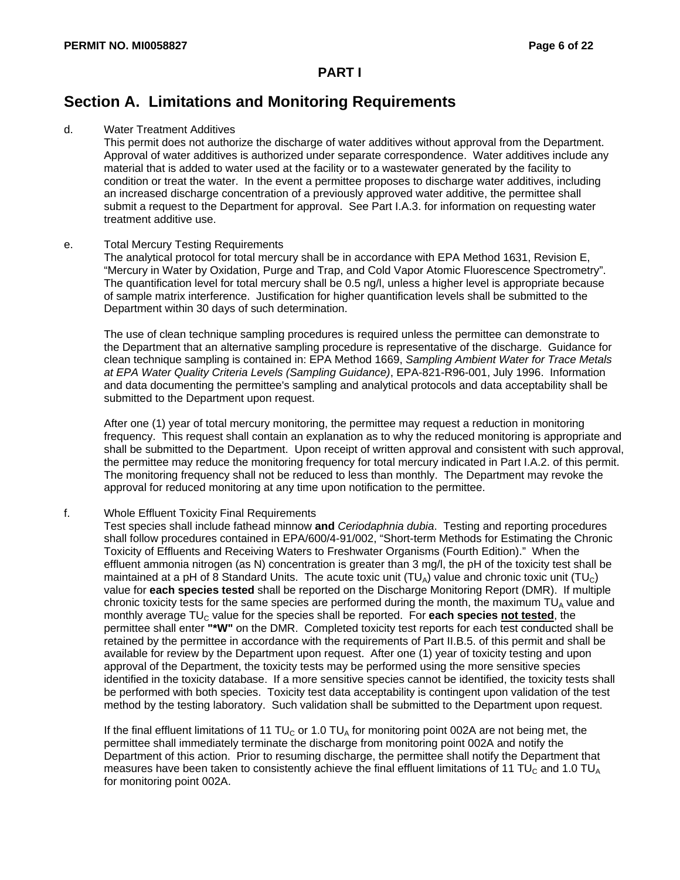### **Section A. Limitations and Monitoring Requirements**

#### d. Water Treatment Additives

This permit does not authorize the discharge of water additives without approval from the Department. Approval of water additives is authorized under separate correspondence. Water additives include any material that is added to water used at the facility or to a wastewater generated by the facility to condition or treat the water. In the event a permittee proposes to discharge water additives, including an increased discharge concentration of a previously approved water additive, the permittee shall submit a request to the Department for approval. See Part I.A.3. for information on requesting water treatment additive use.

#### e. Total Mercury Testing Requirements

The analytical protocol for total mercury shall be in accordance with EPA Method 1631, Revision E, "Mercury in Water by Oxidation, Purge and Trap, and Cold Vapor Atomic Fluorescence Spectrometry". The quantification level for total mercury shall be 0.5 ng/l, unless a higher level is appropriate because of sample matrix interference. Justification for higher quantification levels shall be submitted to the Department within 30 days of such determination.

The use of clean technique sampling procedures is required unless the permittee can demonstrate to the Department that an alternative sampling procedure is representative of the discharge. Guidance for clean technique sampling is contained in: EPA Method 1669, *Sampling Ambient Water for Trace Metals at EPA Water Quality Criteria Levels (Sampling Guidance)*, EPA-821-R96-001, July 1996. Information and data documenting the permittee's sampling and analytical protocols and data acceptability shall be submitted to the Department upon request.

After one (1) year of total mercury monitoring, the permittee may request a reduction in monitoring frequency. This request shall contain an explanation as to why the reduced monitoring is appropriate and shall be submitted to the Department. Upon receipt of written approval and consistent with such approval, the permittee may reduce the monitoring frequency for total mercury indicated in Part I.A.2. of this permit. The monitoring frequency shall not be reduced to less than monthly. The Department may revoke the approval for reduced monitoring at any time upon notification to the permittee.

#### f. Whole Effluent Toxicity Final Requirements

Test species shall include fathead minnow **and** *Ceriodaphnia dubia*. Testing and reporting procedures shall follow procedures contained in EPA/600/4-91/002, "Short-term Methods for Estimating the Chronic Toxicity of Effluents and Receiving Waters to Freshwater Organisms (Fourth Edition)." When the effluent ammonia nitrogen (as N) concentration is greater than 3 mg/l, the pH of the toxicity test shall be maintained at a pH of 8 Standard Units. The acute toxic unit  $(TU_A)$  value and chronic toxic unit  $(TU_C)$ value for **each species tested** shall be reported on the Discharge Monitoring Report (DMR). If multiple chronic toxicity tests for the same species are performed during the month, the maximum  $TU<sub>A</sub>$  value and monthly average TU<sub>C</sub> value for the species shall be reported. For each species not tested, the permittee shall enter **"\*W"** on the DMR. Completed toxicity test reports for each test conducted shall be retained by the permittee in accordance with the requirements of Part II.B.5. of this permit and shall be available for review by the Department upon request. After one (1) year of toxicity testing and upon approval of the Department, the toxicity tests may be performed using the more sensitive species identified in the toxicity database. If a more sensitive species cannot be identified, the toxicity tests shall be performed with both species. Toxicity test data acceptability is contingent upon validation of the test method by the testing laboratory. Such validation shall be submitted to the Department upon request.

If the final effluent limitations of 11 TU<sub>C</sub> or 1.0 TU<sub>A</sub> for monitoring point 002A are not being met, the permittee shall immediately terminate the discharge from monitoring point 002A and notify the Department of this action. Prior to resuming discharge, the permittee shall notify the Department that measures have been taken to consistently achieve the final effluent limitations of 11 TU<sub>C</sub> and 1.0 TU<sub>A</sub> for monitoring point 002A.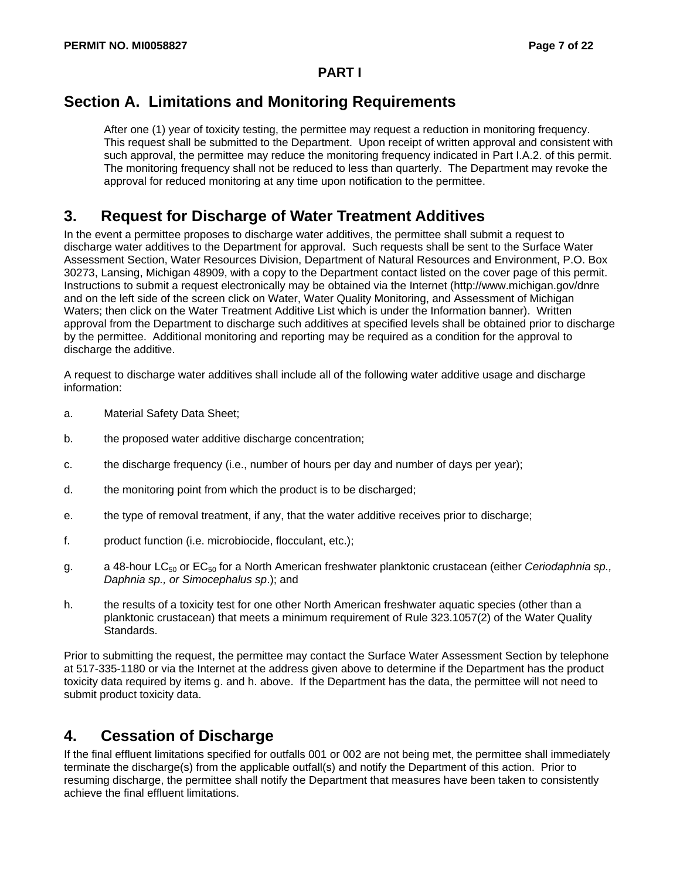### **Section A. Limitations and Monitoring Requirements**

After one (1) year of toxicity testing, the permittee may request a reduction in monitoring frequency. This request shall be submitted to the Department. Upon receipt of written approval and consistent with such approval, the permittee may reduce the monitoring frequency indicated in Part I.A.2. of this permit. The monitoring frequency shall not be reduced to less than quarterly. The Department may revoke the approval for reduced monitoring at any time upon notification to the permittee.

### **3. Request for Discharge of Water Treatment Additives**

In the event a permittee proposes to discharge water additives, the permittee shall submit a request to discharge water additives to the Department for approval. Such requests shall be sent to the Surface Water Assessment Section, Water Resources Division, Department of Natural Resources and Environment, P.O. Box 30273, Lansing, Michigan 48909, with a copy to the Department contact listed on the cover page of this permit. Instructions to submit a request electronically may be obtained via the Internet (http://www.michigan.gov/dnre and on the left side of the screen click on Water, Water Quality Monitoring, and Assessment of Michigan Waters; then click on the Water Treatment Additive List which is under the Information banner). Written approval from the Department to discharge such additives at specified levels shall be obtained prior to discharge by the permittee. Additional monitoring and reporting may be required as a condition for the approval to discharge the additive.

A request to discharge water additives shall include all of the following water additive usage and discharge information:

- a. Material Safety Data Sheet;
- b. the proposed water additive discharge concentration;
- c. the discharge frequency (i.e., number of hours per day and number of days per year);
- d. the monitoring point from which the product is to be discharged;
- e. the type of removal treatment, if any, that the water additive receives prior to discharge;
- f. product function (i.e. microbiocide, flocculant, etc.);
- g. a 48-hour LC<sub>50</sub> or EC<sub>50</sub> for a North American freshwater planktonic crustacean (either *Ceriodaphnia sp., Daphnia sp., or Simocephalus sp*.); and
- h. the results of a toxicity test for one other North American freshwater aquatic species (other than a planktonic crustacean) that meets a minimum requirement of Rule 323.1057(2) of the Water Quality Standards.

Prior to submitting the request, the permittee may contact the Surface Water Assessment Section by telephone at 517-335-1180 or via the Internet at the address given above to determine if the Department has the product toxicity data required by items g. and h. above. If the Department has the data, the permittee will not need to submit product toxicity data.

### **4. Cessation of Discharge**

If the final effluent limitations specified for outfalls 001 or 002 are not being met, the permittee shall immediately terminate the discharge(s) from the applicable outfall(s) and notify the Department of this action. Prior to resuming discharge, the permittee shall notify the Department that measures have been taken to consistently achieve the final effluent limitations.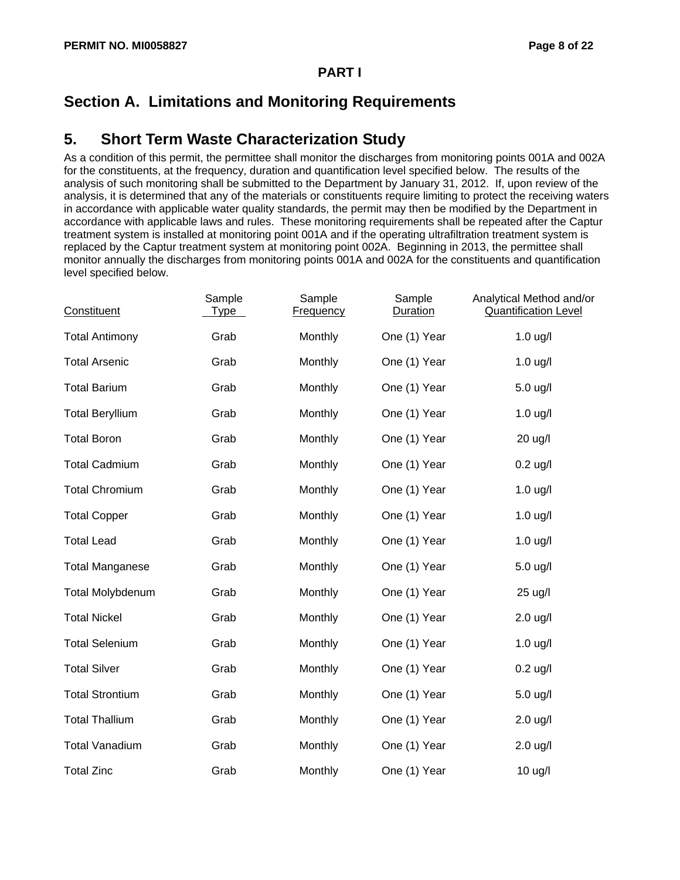## **Section A. Limitations and Monitoring Requirements**

#### **5. Short Term Waste Characterization Study**

As a condition of this permit, the permittee shall monitor the discharges from monitoring points 001A and 002A for the constituents, at the frequency, duration and quantification level specified below. The results of the analysis of such monitoring shall be submitted to the Department by January 31, 2012. If, upon review of the analysis, it is determined that any of the materials or constituents require limiting to protect the receiving waters in accordance with applicable water quality standards, the permit may then be modified by the Department in accordance with applicable laws and rules. These monitoring requirements shall be repeated after the Captur treatment system is installed at monitoring point 001A and if the operating ultrafiltration treatment system is replaced by the Captur treatment system at monitoring point 002A. Beginning in 2013, the permittee shall monitor annually the discharges from monitoring points 001A and 002A for the constituents and quantification level specified below.

| Constituent            | Sample<br>Type | Sample<br><b>Frequency</b> | Sample<br><b>Duration</b> | Analytical Method and/or<br><b>Quantification Level</b> |
|------------------------|----------------|----------------------------|---------------------------|---------------------------------------------------------|
| <b>Total Antimony</b>  | Grab           | Monthly                    | One (1) Year              | $1.0$ ug/l                                              |
| <b>Total Arsenic</b>   | Grab           | Monthly                    | One (1) Year              | $1.0$ ug/l                                              |
| <b>Total Barium</b>    | Grab           | Monthly                    | One (1) Year              | 5.0 ug/l                                                |
| <b>Total Beryllium</b> | Grab           | Monthly                    | One (1) Year              | $1.0$ ug/l                                              |
| <b>Total Boron</b>     | Grab           | Monthly                    | One (1) Year              | 20 ug/l                                                 |
| <b>Total Cadmium</b>   | Grab           | Monthly                    | One (1) Year              | $0.2$ ug/l                                              |
| <b>Total Chromium</b>  | Grab           | Monthly                    | One (1) Year              | $1.0$ ug/l                                              |
| <b>Total Copper</b>    | Grab           | Monthly                    | One (1) Year              | $1.0$ ug/l                                              |
| <b>Total Lead</b>      | Grab           | Monthly                    | One (1) Year              | $1.0$ ug/l                                              |
| <b>Total Manganese</b> | Grab           | Monthly                    | One (1) Year              | $5.0$ ug/l                                              |
| Total Molybdenum       | Grab           | Monthly                    | One (1) Year              | 25 ug/l                                                 |
| <b>Total Nickel</b>    | Grab           | Monthly                    | One (1) Year              | $2.0$ ug/l                                              |
| <b>Total Selenium</b>  | Grab           | Monthly                    | One (1) Year              | $1.0$ ug/l                                              |
| <b>Total Silver</b>    | Grab           | Monthly                    | One (1) Year              | $0.2$ ug/l                                              |
| <b>Total Strontium</b> | Grab           | Monthly                    | One (1) Year              | 5.0 ug/l                                                |
| <b>Total Thallium</b>  | Grab           | Monthly                    | One (1) Year              | $2.0$ ug/l                                              |
| <b>Total Vanadium</b>  | Grab           | Monthly                    | One (1) Year              | $2.0$ ug/l                                              |
| <b>Total Zinc</b>      | Grab           | Monthly                    | One (1) Year              | 10 ug/l                                                 |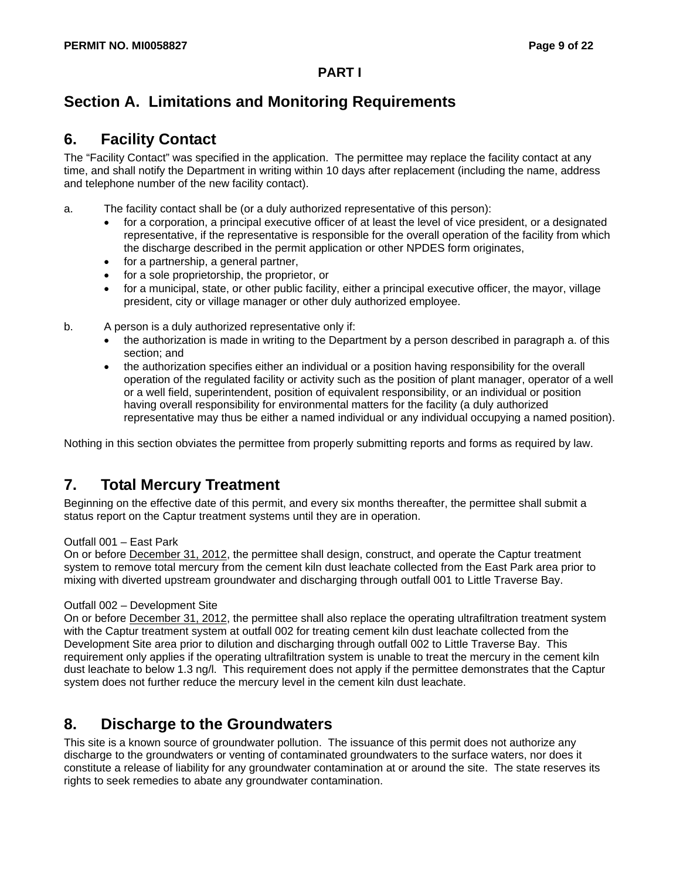## **Section A. Limitations and Monitoring Requirements**

#### **6. Facility Contact**

The "Facility Contact" was specified in the application. The permittee may replace the facility contact at any time, and shall notify the Department in writing within 10 days after replacement (including the name, address and telephone number of the new facility contact).

- a. The facility contact shall be (or a duly authorized representative of this person):
	- for a corporation, a principal executive officer of at least the level of vice president, or a designated representative, if the representative is responsible for the overall operation of the facility from which the discharge described in the permit application or other NPDES form originates,
	- for a partnership, a general partner,
	- for a sole proprietorship, the proprietor, or
	- for a municipal, state, or other public facility, either a principal executive officer, the mayor, village president, city or village manager or other duly authorized employee.
- b. A person is a duly authorized representative only if:
	- the authorization is made in writing to the Department by a person described in paragraph a. of this section; and
	- the authorization specifies either an individual or a position having responsibility for the overall operation of the regulated facility or activity such as the position of plant manager, operator of a well or a well field, superintendent, position of equivalent responsibility, or an individual or position having overall responsibility for environmental matters for the facility (a duly authorized representative may thus be either a named individual or any individual occupying a named position).

Nothing in this section obviates the permittee from properly submitting reports and forms as required by law.

### **7. Total Mercury Treatment**

Beginning on the effective date of this permit, and every six months thereafter, the permittee shall submit a status report on the Captur treatment systems until they are in operation.

#### Outfall 001 – East Park

On or before December 31, 2012, the permittee shall design, construct, and operate the Captur treatment system to remove total mercury from the cement kiln dust leachate collected from the East Park area prior to mixing with diverted upstream groundwater and discharging through outfall 001 to Little Traverse Bay.

#### Outfall 002 – Development Site

On or before December 31, 2012, the permittee shall also replace the operating ultrafiltration treatment system with the Captur treatment system at outfall 002 for treating cement kiln dust leachate collected from the Development Site area prior to dilution and discharging through outfall 002 to Little Traverse Bay. This requirement only applies if the operating ultrafiltration system is unable to treat the mercury in the cement kiln dust leachate to below 1.3 ng/l. This requirement does not apply if the permittee demonstrates that the Captur system does not further reduce the mercury level in the cement kiln dust leachate.

#### **8. Discharge to the Groundwaters**

This site is a known source of groundwater pollution. The issuance of this permit does not authorize any discharge to the groundwaters or venting of contaminated groundwaters to the surface waters, nor does it constitute a release of liability for any groundwater contamination at or around the site. The state reserves its rights to seek remedies to abate any groundwater contamination.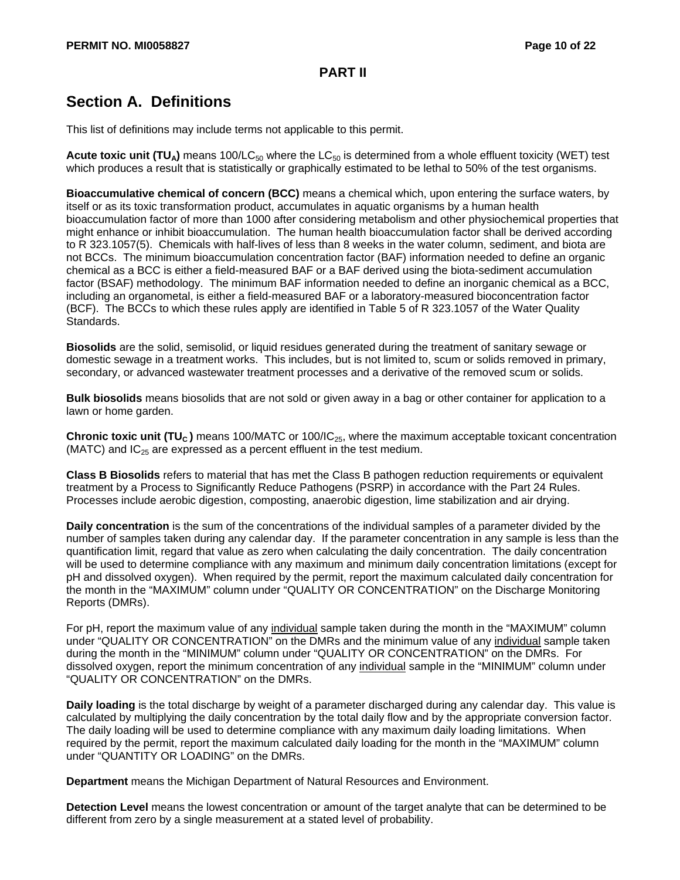# **Section A. Definitions**

This list of definitions may include terms not applicable to this permit.

**Acute toxic unit (TU<sub>A</sub>)** means 100/LC<sub>50</sub> where the LC<sub>50</sub> is determined from a whole effluent toxicity (WET) test which produces a result that is statistically or graphically estimated to be lethal to 50% of the test organisms.

**Bioaccumulative chemical of concern (BCC)** means a chemical which, upon entering the surface waters, by itself or as its toxic transformation product, accumulates in aquatic organisms by a human health bioaccumulation factor of more than 1000 after considering metabolism and other physiochemical properties that might enhance or inhibit bioaccumulation. The human health bioaccumulation factor shall be derived according to R 323.1057(5). Chemicals with half-lives of less than 8 weeks in the water column, sediment, and biota are not BCCs. The minimum bioaccumulation concentration factor (BAF) information needed to define an organic chemical as a BCC is either a field-measured BAF or a BAF derived using the biota-sediment accumulation factor (BSAF) methodology. The minimum BAF information needed to define an inorganic chemical as a BCC, including an organometal, is either a field-measured BAF or a laboratory-measured bioconcentration factor (BCF). The BCCs to which these rules apply are identified in Table 5 of R 323.1057 of the Water Quality Standards.

**Biosolids** are the solid, semisolid, or liquid residues generated during the treatment of sanitary sewage or domestic sewage in a treatment works. This includes, but is not limited to, scum or solids removed in primary, secondary, or advanced wastewater treatment processes and a derivative of the removed scum or solids.

**Bulk biosolids** means biosolids that are not sold or given away in a bag or other container for application to a lawn or home garden.

**Chronic toxic unit (TU<sub>C</sub>)** means 100/MATC or 100/IC<sub>25</sub>, where the maximum acceptable toxicant concentration (MATC) and  $IC_{25}$  are expressed as a percent effluent in the test medium.

**Class B Biosolids** refers to material that has met the Class B pathogen reduction requirements or equivalent treatment by a Process to Significantly Reduce Pathogens (PSRP) in accordance with the Part 24 Rules. Processes include aerobic digestion, composting, anaerobic digestion, lime stabilization and air drying.

**Daily concentration** is the sum of the concentrations of the individual samples of a parameter divided by the number of samples taken during any calendar day. If the parameter concentration in any sample is less than the quantification limit, regard that value as zero when calculating the daily concentration. The daily concentration will be used to determine compliance with any maximum and minimum daily concentration limitations (except for pH and dissolved oxygen). When required by the permit, report the maximum calculated daily concentration for the month in the "MAXIMUM" column under "QUALITY OR CONCENTRATION" on the Discharge Monitoring Reports (DMRs).

For pH, report the maximum value of any individual sample taken during the month in the "MAXIMUM" column under "QUALITY OR CONCENTRATION" on the DMRs and the minimum value of any individual sample taken during the month in the "MINIMUM" column under "QUALITY OR CONCENTRATION" on the DMRs. For dissolved oxygen, report the minimum concentration of any individual sample in the "MINIMUM" column under "QUALITY OR CONCENTRATION" on the DMRs.

**Daily loading** is the total discharge by weight of a parameter discharged during any calendar day. This value is calculated by multiplying the daily concentration by the total daily flow and by the appropriate conversion factor. The daily loading will be used to determine compliance with any maximum daily loading limitations. When required by the permit, report the maximum calculated daily loading for the month in the "MAXIMUM" column under "QUANTITY OR LOADING" on the DMRs.

**Department** means the Michigan Department of Natural Resources and Environment.

**Detection Level** means the lowest concentration or amount of the target analyte that can be determined to be different from zero by a single measurement at a stated level of probability.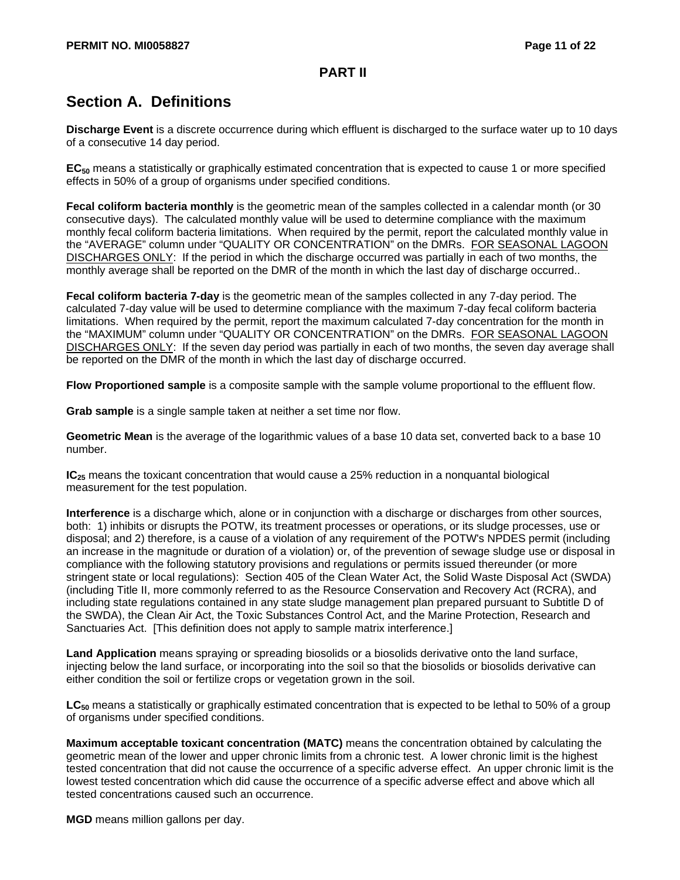# **Section A. Definitions**

**Discharge Event** is a discrete occurrence during which effluent is discharged to the surface water up to 10 days of a consecutive 14 day period.

**EC50** means a statistically or graphically estimated concentration that is expected to cause 1 or more specified effects in 50% of a group of organisms under specified conditions.

**Fecal coliform bacteria monthly** is the geometric mean of the samples collected in a calendar month (or 30 consecutive days). The calculated monthly value will be used to determine compliance with the maximum monthly fecal coliform bacteria limitations. When required by the permit, report the calculated monthly value in the "AVERAGE" column under "QUALITY OR CONCENTRATION" on the DMRs. FOR SEASONAL LAGOON DISCHARGES ONLY: If the period in which the discharge occurred was partially in each of two months, the monthly average shall be reported on the DMR of the month in which the last day of discharge occurred..

**Fecal coliform bacteria 7-day** is the geometric mean of the samples collected in any 7-day period. The calculated 7-day value will be used to determine compliance with the maximum 7-day fecal coliform bacteria limitations. When required by the permit, report the maximum calculated 7-day concentration for the month in the "MAXIMUM" column under "QUALITY OR CONCENTRATION" on the DMRs. FOR SEASONAL LAGOON DISCHARGES ONLY: If the seven day period was partially in each of two months, the seven day average shall be reported on the DMR of the month in which the last day of discharge occurred.

**Flow Proportioned sample** is a composite sample with the sample volume proportional to the effluent flow.

**Grab sample** is a single sample taken at neither a set time nor flow.

**Geometric Mean** is the average of the logarithmic values of a base 10 data set, converted back to a base 10 number.

**IC**<sub>25</sub> means the toxicant concentration that would cause a 25% reduction in a nonquantal biological measurement for the test population.

**Interference** is a discharge which, alone or in conjunction with a discharge or discharges from other sources, both: 1) inhibits or disrupts the POTW, its treatment processes or operations, or its sludge processes, use or disposal; and 2) therefore, is a cause of a violation of any requirement of the POTW's NPDES permit (including an increase in the magnitude or duration of a violation) or, of the prevention of sewage sludge use or disposal in compliance with the following statutory provisions and regulations or permits issued thereunder (or more stringent state or local regulations): Section 405 of the Clean Water Act, the Solid Waste Disposal Act (SWDA) (including Title II, more commonly referred to as the Resource Conservation and Recovery Act (RCRA), and including state regulations contained in any state sludge management plan prepared pursuant to Subtitle D of the SWDA), the Clean Air Act, the Toxic Substances Control Act, and the Marine Protection, Research and Sanctuaries Act. [This definition does not apply to sample matrix interference.]

**Land Application** means spraying or spreading biosolids or a biosolids derivative onto the land surface, injecting below the land surface, or incorporating into the soil so that the biosolids or biosolids derivative can either condition the soil or fertilize crops or vegetation grown in the soil.

LC<sub>50</sub> means a statistically or graphically estimated concentration that is expected to be lethal to 50% of a group of organisms under specified conditions.

**Maximum acceptable toxicant concentration (MATC)** means the concentration obtained by calculating the geometric mean of the lower and upper chronic limits from a chronic test. A lower chronic limit is the highest tested concentration that did not cause the occurrence of a specific adverse effect. An upper chronic limit is the lowest tested concentration which did cause the occurrence of a specific adverse effect and above which all tested concentrations caused such an occurrence.

**MGD** means million gallons per day.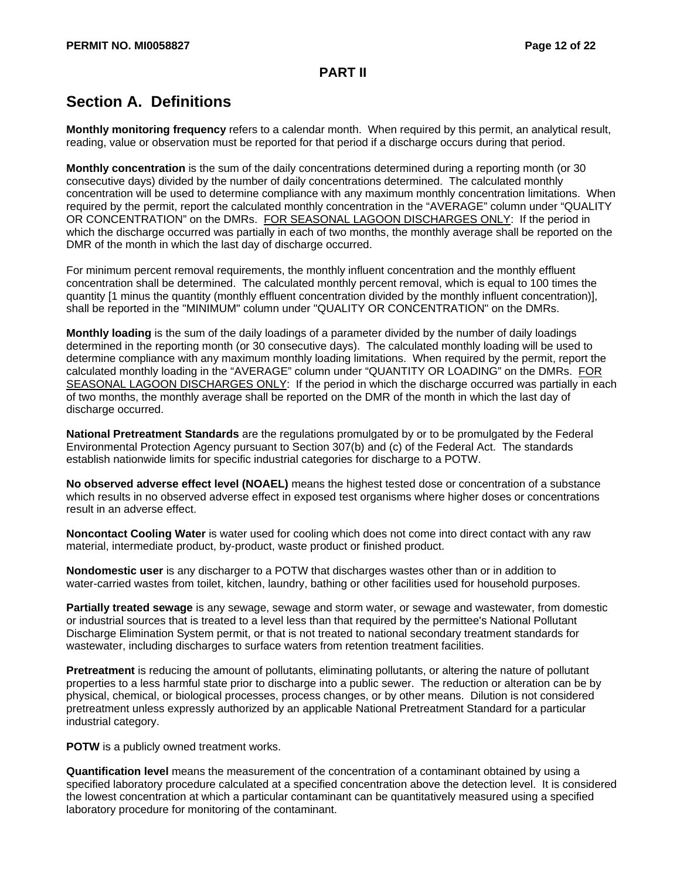# **Section A. Definitions**

**Monthly monitoring frequency** refers to a calendar month. When required by this permit, an analytical result, reading, value or observation must be reported for that period if a discharge occurs during that period.

**Monthly concentration** is the sum of the daily concentrations determined during a reporting month (or 30 consecutive days) divided by the number of daily concentrations determined. The calculated monthly concentration will be used to determine compliance with any maximum monthly concentration limitations. When required by the permit, report the calculated monthly concentration in the "AVERAGE" column under "QUALITY OR CONCENTRATION" on the DMRs. FOR SEASONAL LAGOON DISCHARGES ONLY: If the period in which the discharge occurred was partially in each of two months, the monthly average shall be reported on the DMR of the month in which the last day of discharge occurred.

For minimum percent removal requirements, the monthly influent concentration and the monthly effluent concentration shall be determined. The calculated monthly percent removal, which is equal to 100 times the quantity [1 minus the quantity (monthly effluent concentration divided by the monthly influent concentration)], shall be reported in the "MINIMUM" column under "QUALITY OR CONCENTRATION" on the DMRs.

**Monthly loading** is the sum of the daily loadings of a parameter divided by the number of daily loadings determined in the reporting month (or 30 consecutive days). The calculated monthly loading will be used to determine compliance with any maximum monthly loading limitations. When required by the permit, report the calculated monthly loading in the "AVERAGE" column under "QUANTITY OR LOADING" on the DMRs. FOR SEASONAL LAGOON DISCHARGES ONLY: If the period in which the discharge occurred was partially in each of two months, the monthly average shall be reported on the DMR of the month in which the last day of discharge occurred.

**National Pretreatment Standards** are the regulations promulgated by or to be promulgated by the Federal Environmental Protection Agency pursuant to Section 307(b) and (c) of the Federal Act. The standards establish nationwide limits for specific industrial categories for discharge to a POTW.

**No observed adverse effect level (NOAEL)** means the highest tested dose or concentration of a substance which results in no observed adverse effect in exposed test organisms where higher doses or concentrations result in an adverse effect.

**Noncontact Cooling Water** is water used for cooling which does not come into direct contact with any raw material, intermediate product, by-product, waste product or finished product.

**Nondomestic user** is any discharger to a POTW that discharges wastes other than or in addition to water-carried wastes from toilet, kitchen, laundry, bathing or other facilities used for household purposes.

**Partially treated sewage** is any sewage, sewage and storm water, or sewage and wastewater, from domestic or industrial sources that is treated to a level less than that required by the permittee's National Pollutant Discharge Elimination System permit, or that is not treated to national secondary treatment standards for wastewater, including discharges to surface waters from retention treatment facilities.

**Pretreatment** is reducing the amount of pollutants, eliminating pollutants, or altering the nature of pollutant properties to a less harmful state prior to discharge into a public sewer. The reduction or alteration can be by physical, chemical, or biological processes, process changes, or by other means. Dilution is not considered pretreatment unless expressly authorized by an applicable National Pretreatment Standard for a particular industrial category.

**POTW** is a publicly owned treatment works.

**Quantification level** means the measurement of the concentration of a contaminant obtained by using a specified laboratory procedure calculated at a specified concentration above the detection level. It is considered the lowest concentration at which a particular contaminant can be quantitatively measured using a specified laboratory procedure for monitoring of the contaminant.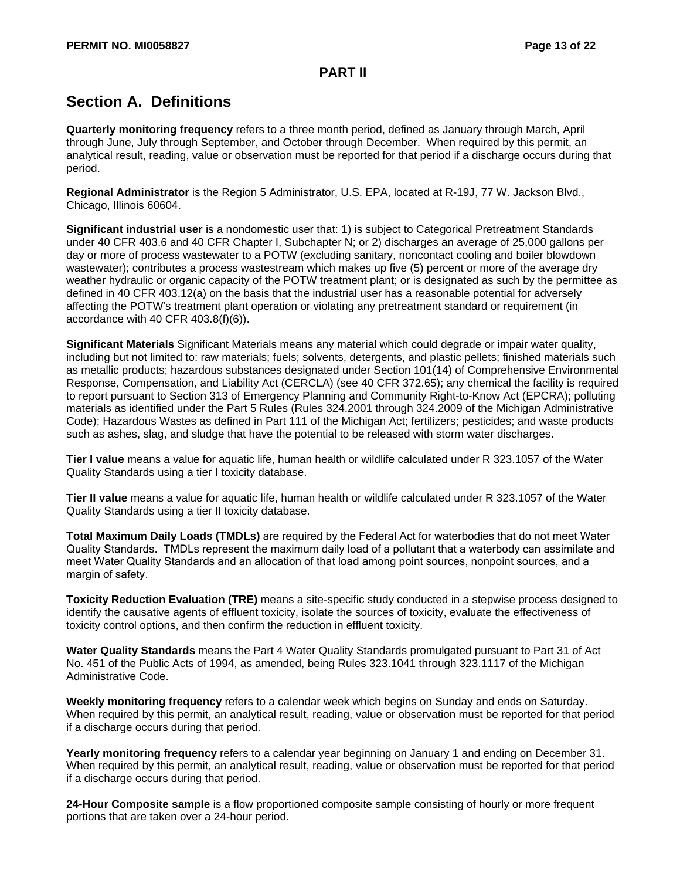# **Section A. Definitions**

**Quarterly monitoring frequency** refers to a three month period, defined as January through March, April through June, July through September, and October through December. When required by this permit, an analytical result, reading, value or observation must be reported for that period if a discharge occurs during that period.

**Regional Administrator** is the Region 5 Administrator, U.S. EPA, located at R-19J, 77 W. Jackson Blvd., Chicago, Illinois 60604.

**Significant industrial user** is a nondomestic user that: 1) is subject to Categorical Pretreatment Standards under 40 CFR 403.6 and 40 CFR Chapter I, Subchapter N; or 2) discharges an average of 25,000 gallons per day or more of process wastewater to a POTW (excluding sanitary, noncontact cooling and boiler blowdown wastewater); contributes a process wastestream which makes up five (5) percent or more of the average dry weather hydraulic or organic capacity of the POTW treatment plant; or is designated as such by the permittee as defined in 40 CFR 403.12(a) on the basis that the industrial user has a reasonable potential for adversely affecting the POTW's treatment plant operation or violating any pretreatment standard or requirement (in accordance with 40 CFR 403.8(f)(6)).

**Significant Materials** Significant Materials means any material which could degrade or impair water quality, including but not limited to: raw materials; fuels; solvents, detergents, and plastic pellets; finished materials such as metallic products; hazardous substances designated under Section 101(14) of Comprehensive Environmental Response, Compensation, and Liability Act (CERCLA) (see 40 CFR 372.65); any chemical the facility is required to report pursuant to Section 313 of Emergency Planning and Community Right-to-Know Act (EPCRA); polluting materials as identified under the Part 5 Rules (Rules 324.2001 through 324.2009 of the Michigan Administrative Code); Hazardous Wastes as defined in Part 111 of the Michigan Act; fertilizers; pesticides; and waste products such as ashes, slag, and sludge that have the potential to be released with storm water discharges.

**Tier I value** means a value for aquatic life, human health or wildlife calculated under R 323.1057 of the Water Quality Standards using a tier I toxicity database.

**Tier II value** means a value for aquatic life, human health or wildlife calculated under R 323.1057 of the Water Quality Standards using a tier II toxicity database.

**Total Maximum Daily Loads (TMDLs)** are required by the Federal Act for waterbodies that do not meet Water Quality Standards. TMDLs represent the maximum daily load of a pollutant that a waterbody can assimilate and meet Water Quality Standards and an allocation of that load among point sources, nonpoint sources, and a margin of safety.

**Toxicity Reduction Evaluation (TRE)** means a site-specific study conducted in a stepwise process designed to identify the causative agents of effluent toxicity, isolate the sources of toxicity, evaluate the effectiveness of toxicity control options, and then confirm the reduction in effluent toxicity.

**Water Quality Standards** means the Part 4 Water Quality Standards promulgated pursuant to Part 31 of Act No. 451 of the Public Acts of 1994, as amended, being Rules 323.1041 through 323.1117 of the Michigan Administrative Code.

**Weekly monitoring frequency** refers to a calendar week which begins on Sunday and ends on Saturday. When required by this permit, an analytical result, reading, value or observation must be reported for that period if a discharge occurs during that period.

**Yearly monitoring frequency** refers to a calendar year beginning on January 1 and ending on December 31. When required by this permit, an analytical result, reading, value or observation must be reported for that period if a discharge occurs during that period.

**24-Hour Composite sample** is a flow proportioned composite sample consisting of hourly or more frequent portions that are taken over a 24-hour period.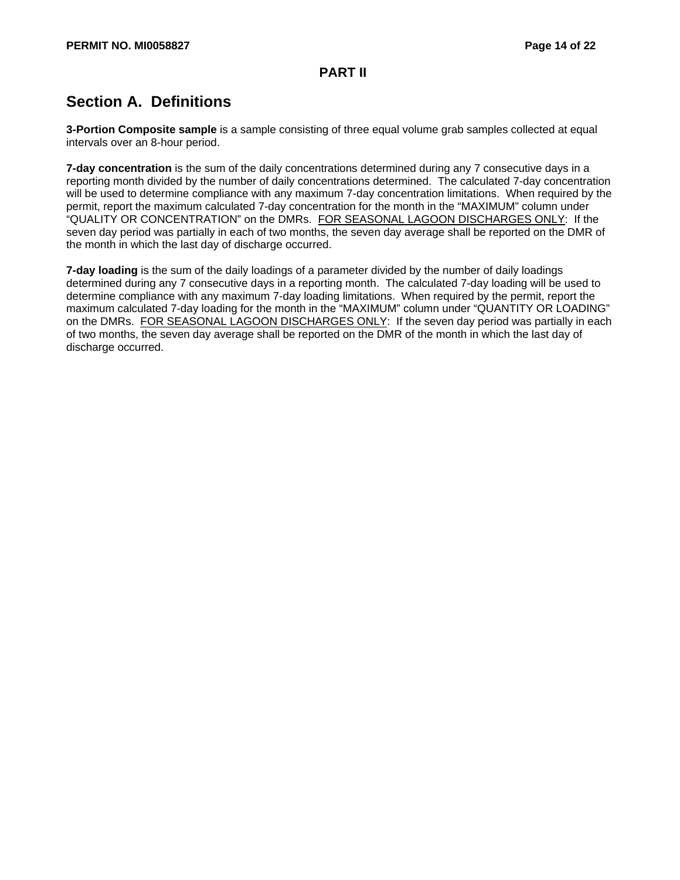# **Section A. Definitions**

**3-Portion Composite sample** is a sample consisting of three equal volume grab samples collected at equal intervals over an 8-hour period.

**7-day concentration** is the sum of the daily concentrations determined during any 7 consecutive days in a reporting month divided by the number of daily concentrations determined. The calculated 7-day concentration will be used to determine compliance with any maximum 7-day concentration limitations. When required by the permit, report the maximum calculated 7-day concentration for the month in the "MAXIMUM" column under "QUALITY OR CONCENTRATION" on the DMRs. FOR SEASONAL LAGOON DISCHARGES ONLY: If the seven day period was partially in each of two months, the seven day average shall be reported on the DMR of the month in which the last day of discharge occurred.

**7-day loading** is the sum of the daily loadings of a parameter divided by the number of daily loadings determined during any 7 consecutive days in a reporting month. The calculated 7-day loading will be used to determine compliance with any maximum 7-day loading limitations. When required by the permit, report the maximum calculated 7-day loading for the month in the "MAXIMUM" column under "QUANTITY OR LOADING" on the DMRs. FOR SEASONAL LAGOON DISCHARGES ONLY: If the seven day period was partially in each of two months, the seven day average shall be reported on the DMR of the month in which the last day of discharge occurred.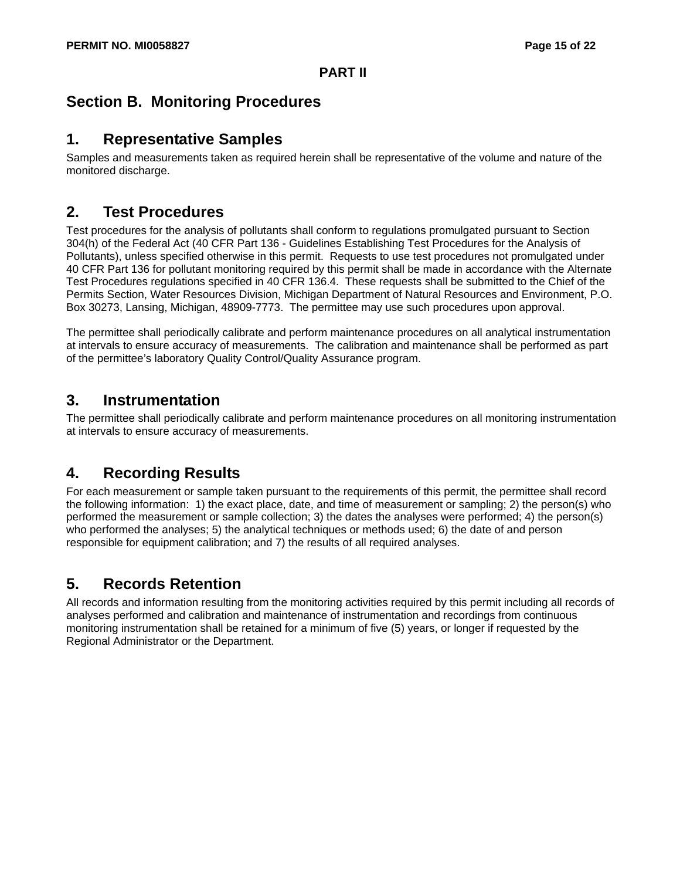## **Section B. Monitoring Procedures**

#### **1. Representative Samples**

Samples and measurements taken as required herein shall be representative of the volume and nature of the monitored discharge.

### **2. Test Procedures**

Test procedures for the analysis of pollutants shall conform to regulations promulgated pursuant to Section 304(h) of the Federal Act (40 CFR Part 136 - Guidelines Establishing Test Procedures for the Analysis of Pollutants), unless specified otherwise in this permit. Requests to use test procedures not promulgated under 40 CFR Part 136 for pollutant monitoring required by this permit shall be made in accordance with the Alternate Test Procedures regulations specified in 40 CFR 136.4. These requests shall be submitted to the Chief of the Permits Section, Water Resources Division, Michigan Department of Natural Resources and Environment, P.O. Box 30273, Lansing, Michigan, 48909-7773. The permittee may use such procedures upon approval.

The permittee shall periodically calibrate and perform maintenance procedures on all analytical instrumentation at intervals to ensure accuracy of measurements. The calibration and maintenance shall be performed as part of the permittee's laboratory Quality Control/Quality Assurance program.

### **3. Instrumentation**

The permittee shall periodically calibrate and perform maintenance procedures on all monitoring instrumentation at intervals to ensure accuracy of measurements.

# **4. Recording Results**

For each measurement or sample taken pursuant to the requirements of this permit, the permittee shall record the following information: 1) the exact place, date, and time of measurement or sampling; 2) the person(s) who performed the measurement or sample collection; 3) the dates the analyses were performed; 4) the person(s) who performed the analyses; 5) the analytical techniques or methods used; 6) the date of and person responsible for equipment calibration; and 7) the results of all required analyses.

### **5. Records Retention**

All records and information resulting from the monitoring activities required by this permit including all records of analyses performed and calibration and maintenance of instrumentation and recordings from continuous monitoring instrumentation shall be retained for a minimum of five (5) years, or longer if requested by the Regional Administrator or the Department.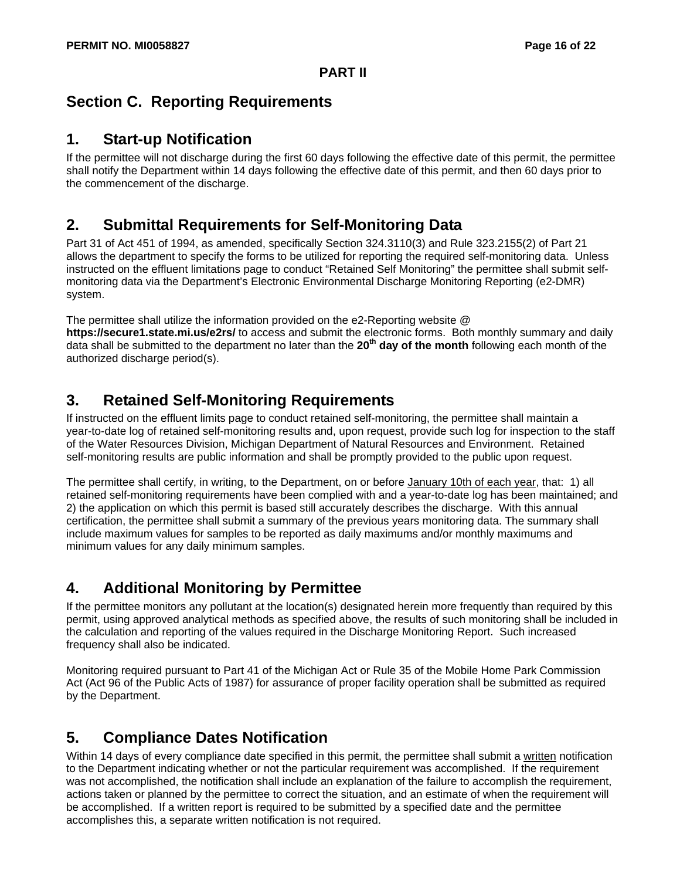# **Section C. Reporting Requirements**

#### **1. Start-up Notification**

If the permittee will not discharge during the first 60 days following the effective date of this permit, the permittee shall notify the Department within 14 days following the effective date of this permit, and then 60 days prior to the commencement of the discharge.

### **2. Submittal Requirements for Self-Monitoring Data**

Part 31 of Act 451 of 1994, as amended, specifically Section 324.3110(3) and Rule 323.2155(2) of Part 21 allows the department to specify the forms to be utilized for reporting the required self-monitoring data. Unless instructed on the effluent limitations page to conduct "Retained Self Monitoring" the permittee shall submit selfmonitoring data via the Department's Electronic Environmental Discharge Monitoring Reporting (e2-DMR) system.

The permittee shall utilize the information provided on the e2-Reporting website @ **https://secure1.state.mi.us/e2rs/** to access and submit the electronic forms. Both monthly summary and daily data shall be submitted to the department no later than the **20th day of the month** following each month of the authorized discharge period(s).

### **3. Retained Self-Monitoring Requirements**

If instructed on the effluent limits page to conduct retained self-monitoring, the permittee shall maintain a year-to-date log of retained self-monitoring results and, upon request, provide such log for inspection to the staff of the Water Resources Division, Michigan Department of Natural Resources and Environment. Retained self-monitoring results are public information and shall be promptly provided to the public upon request.

The permittee shall certify, in writing, to the Department, on or before January 10th of each year, that: 1) all retained self-monitoring requirements have been complied with and a year-to-date log has been maintained; and 2) the application on which this permit is based still accurately describes the discharge. With this annual certification, the permittee shall submit a summary of the previous years monitoring data. The summary shall include maximum values for samples to be reported as daily maximums and/or monthly maximums and minimum values for any daily minimum samples.

### **4. Additional Monitoring by Permittee**

If the permittee monitors any pollutant at the location(s) designated herein more frequently than required by this permit, using approved analytical methods as specified above, the results of such monitoring shall be included in the calculation and reporting of the values required in the Discharge Monitoring Report. Such increased frequency shall also be indicated.

Monitoring required pursuant to Part 41 of the Michigan Act or Rule 35 of the Mobile Home Park Commission Act (Act 96 of the Public Acts of 1987) for assurance of proper facility operation shall be submitted as required by the Department.

# **5. Compliance Dates Notification**

Within 14 days of every compliance date specified in this permit, the permittee shall submit a written notification to the Department indicating whether or not the particular requirement was accomplished. If the requirement was not accomplished, the notification shall include an explanation of the failure to accomplish the requirement, actions taken or planned by the permittee to correct the situation, and an estimate of when the requirement will be accomplished. If a written report is required to be submitted by a specified date and the permittee accomplishes this, a separate written notification is not required.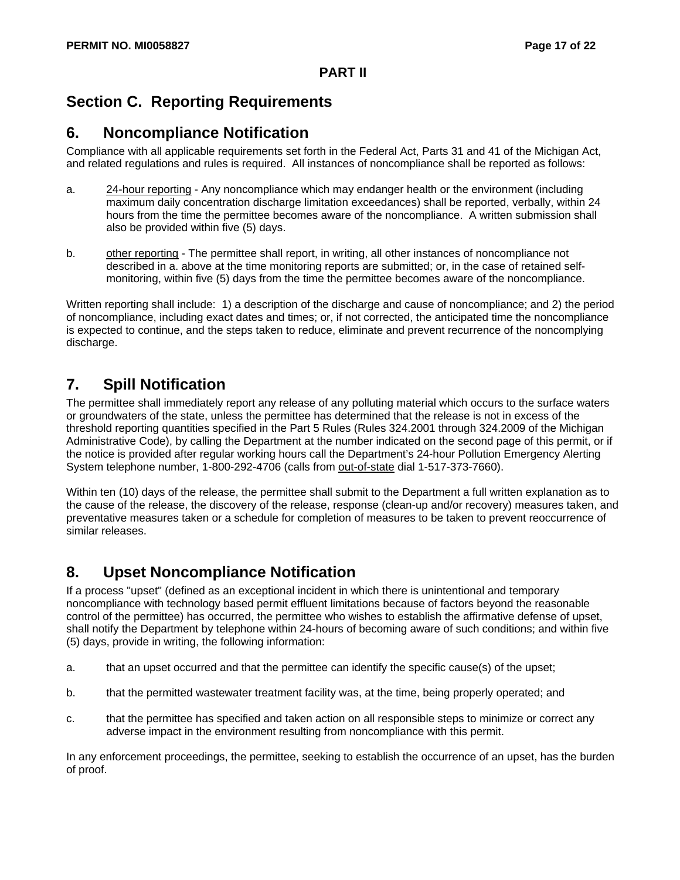# **Section C. Reporting Requirements**

#### **6. Noncompliance Notification**

Compliance with all applicable requirements set forth in the Federal Act, Parts 31 and 41 of the Michigan Act, and related regulations and rules is required. All instances of noncompliance shall be reported as follows:

- a. 24-hour reporting Any noncompliance which may endanger health or the environment (including maximum daily concentration discharge limitation exceedances) shall be reported, verbally, within 24 hours from the time the permittee becomes aware of the noncompliance. A written submission shall also be provided within five (5) days.
- b. other reporting The permittee shall report, in writing, all other instances of noncompliance not described in a. above at the time monitoring reports are submitted; or, in the case of retained selfmonitoring, within five (5) days from the time the permittee becomes aware of the noncompliance.

Written reporting shall include: 1) a description of the discharge and cause of noncompliance; and 2) the period of noncompliance, including exact dates and times; or, if not corrected, the anticipated time the noncompliance is expected to continue, and the steps taken to reduce, eliminate and prevent recurrence of the noncomplying discharge.

# **7. Spill Notification**

The permittee shall immediately report any release of any polluting material which occurs to the surface waters or groundwaters of the state, unless the permittee has determined that the release is not in excess of the threshold reporting quantities specified in the Part 5 Rules (Rules 324.2001 through 324.2009 of the Michigan Administrative Code), by calling the Department at the number indicated on the second page of this permit, or if the notice is provided after regular working hours call the Department's 24-hour Pollution Emergency Alerting System telephone number, 1-800-292-4706 (calls from out-of-state dial 1-517-373-7660).

Within ten (10) days of the release, the permittee shall submit to the Department a full written explanation as to the cause of the release, the discovery of the release, response (clean-up and/or recovery) measures taken, and preventative measures taken or a schedule for completion of measures to be taken to prevent reoccurrence of similar releases.

### **8. Upset Noncompliance Notification**

If a process "upset" (defined as an exceptional incident in which there is unintentional and temporary noncompliance with technology based permit effluent limitations because of factors beyond the reasonable control of the permittee) has occurred, the permittee who wishes to establish the affirmative defense of upset, shall notify the Department by telephone within 24-hours of becoming aware of such conditions; and within five (5) days, provide in writing, the following information:

- a. that an upset occurred and that the permittee can identify the specific cause(s) of the upset;
- b. that the permitted wastewater treatment facility was, at the time, being properly operated; and
- c. that the permittee has specified and taken action on all responsible steps to minimize or correct any adverse impact in the environment resulting from noncompliance with this permit.

In any enforcement proceedings, the permittee, seeking to establish the occurrence of an upset, has the burden of proof.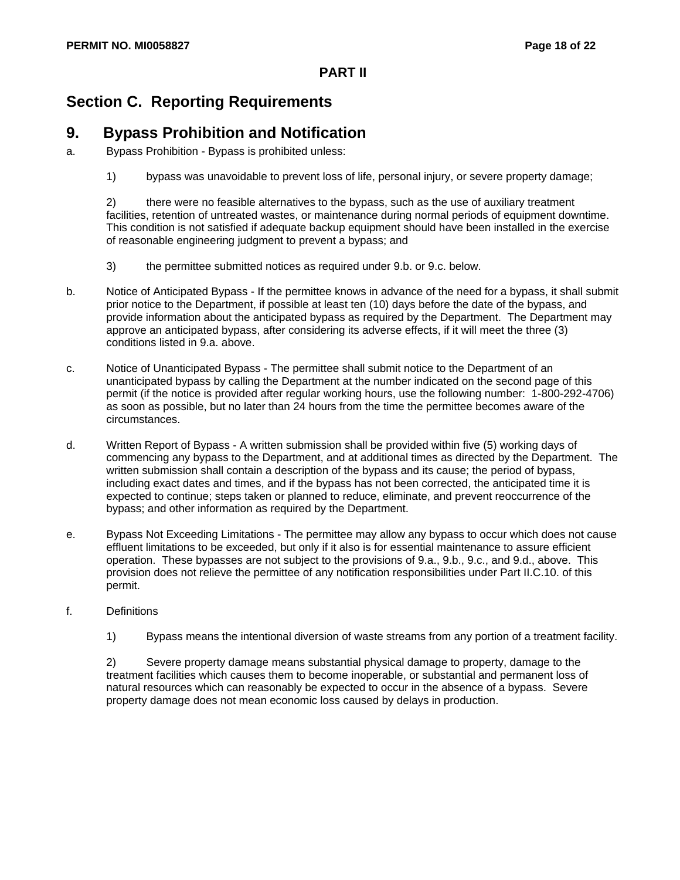# **Section C. Reporting Requirements**

# **9. Bypass Prohibition and Notification**

- a. Bypass Prohibition Bypass is prohibited unless:
	- 1) bypass was unavoidable to prevent loss of life, personal injury, or severe property damage;

2) there were no feasible alternatives to the bypass, such as the use of auxiliary treatment facilities, retention of untreated wastes, or maintenance during normal periods of equipment downtime. This condition is not satisfied if adequate backup equipment should have been installed in the exercise of reasonable engineering judgment to prevent a bypass; and

- 3) the permittee submitted notices as required under 9.b. or 9.c. below.
- b. Notice of Anticipated Bypass If the permittee knows in advance of the need for a bypass, it shall submit prior notice to the Department, if possible at least ten (10) days before the date of the bypass, and provide information about the anticipated bypass as required by the Department. The Department may approve an anticipated bypass, after considering its adverse effects, if it will meet the three (3) conditions listed in 9.a. above.
- c. Notice of Unanticipated Bypass The permittee shall submit notice to the Department of an unanticipated bypass by calling the Department at the number indicated on the second page of this permit (if the notice is provided after regular working hours, use the following number: 1-800-292-4706) as soon as possible, but no later than 24 hours from the time the permittee becomes aware of the circumstances.
- d. Written Report of Bypass A written submission shall be provided within five (5) working days of commencing any bypass to the Department, and at additional times as directed by the Department. The written submission shall contain a description of the bypass and its cause; the period of bypass, including exact dates and times, and if the bypass has not been corrected, the anticipated time it is expected to continue; steps taken or planned to reduce, eliminate, and prevent reoccurrence of the bypass; and other information as required by the Department.
- e. Bypass Not Exceeding Limitations The permittee may allow any bypass to occur which does not cause effluent limitations to be exceeded, but only if it also is for essential maintenance to assure efficient operation. These bypasses are not subject to the provisions of 9.a., 9.b., 9.c., and 9.d., above. This provision does not relieve the permittee of any notification responsibilities under Part II.C.10. of this permit.
- f. Definitions
	- 1) Bypass means the intentional diversion of waste streams from any portion of a treatment facility.

2) Severe property damage means substantial physical damage to property, damage to the treatment facilities which causes them to become inoperable, or substantial and permanent loss of natural resources which can reasonably be expected to occur in the absence of a bypass. Severe property damage does not mean economic loss caused by delays in production.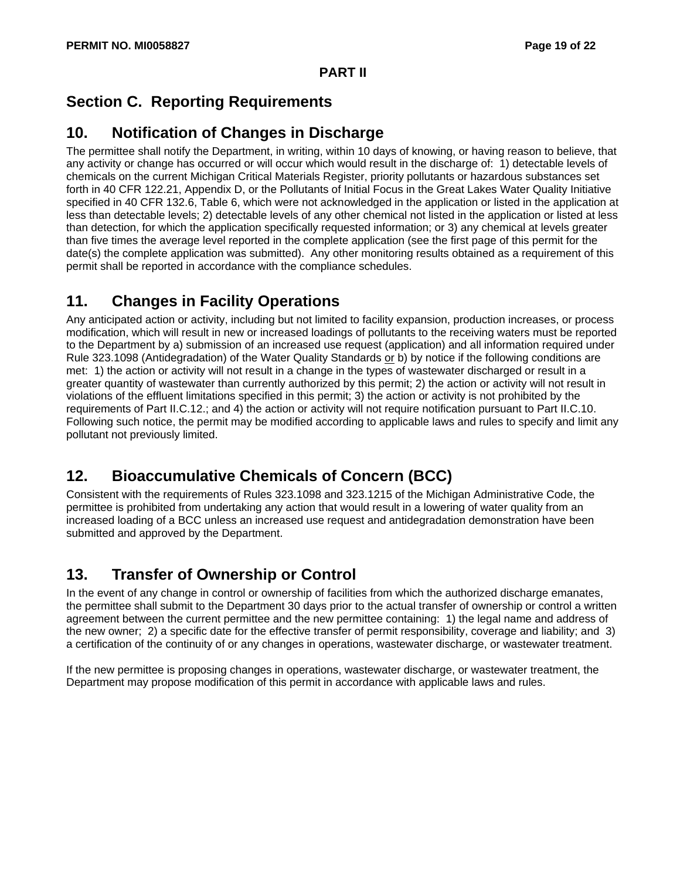# **Section C. Reporting Requirements**

# **10. Notification of Changes in Discharge**

The permittee shall notify the Department, in writing, within 10 days of knowing, or having reason to believe, that any activity or change has occurred or will occur which would result in the discharge of: 1) detectable levels of chemicals on the current Michigan Critical Materials Register, priority pollutants or hazardous substances set forth in 40 CFR 122.21, Appendix D, or the Pollutants of Initial Focus in the Great Lakes Water Quality Initiative specified in 40 CFR 132.6, Table 6, which were not acknowledged in the application or listed in the application at less than detectable levels; 2) detectable levels of any other chemical not listed in the application or listed at less than detection, for which the application specifically requested information; or 3) any chemical at levels greater than five times the average level reported in the complete application (see the first page of this permit for the date(s) the complete application was submitted). Any other monitoring results obtained as a requirement of this permit shall be reported in accordance with the compliance schedules.

# **11. Changes in Facility Operations**

Any anticipated action or activity, including but not limited to facility expansion, production increases, or process modification, which will result in new or increased loadings of pollutants to the receiving waters must be reported to the Department by a) submission of an increased use request (application) and all information required under Rule 323.1098 (Antidegradation) of the Water Quality Standards or b) by notice if the following conditions are met: 1) the action or activity will not result in a change in the types of wastewater discharged or result in a greater quantity of wastewater than currently authorized by this permit; 2) the action or activity will not result in violations of the effluent limitations specified in this permit; 3) the action or activity is not prohibited by the requirements of Part II.C.12.; and 4) the action or activity will not require notification pursuant to Part II.C.10. Following such notice, the permit may be modified according to applicable laws and rules to specify and limit any pollutant not previously limited.

# **12. Bioaccumulative Chemicals of Concern (BCC)**

Consistent with the requirements of Rules 323.1098 and 323.1215 of the Michigan Administrative Code, the permittee is prohibited from undertaking any action that would result in a lowering of water quality from an increased loading of a BCC unless an increased use request and antidegradation demonstration have been submitted and approved by the Department.

# **13. Transfer of Ownership or Control**

In the event of any change in control or ownership of facilities from which the authorized discharge emanates, the permittee shall submit to the Department 30 days prior to the actual transfer of ownership or control a written agreement between the current permittee and the new permittee containing: 1) the legal name and address of the new owner; 2) a specific date for the effective transfer of permit responsibility, coverage and liability; and 3) a certification of the continuity of or any changes in operations, wastewater discharge, or wastewater treatment.

If the new permittee is proposing changes in operations, wastewater discharge, or wastewater treatment, the Department may propose modification of this permit in accordance with applicable laws and rules.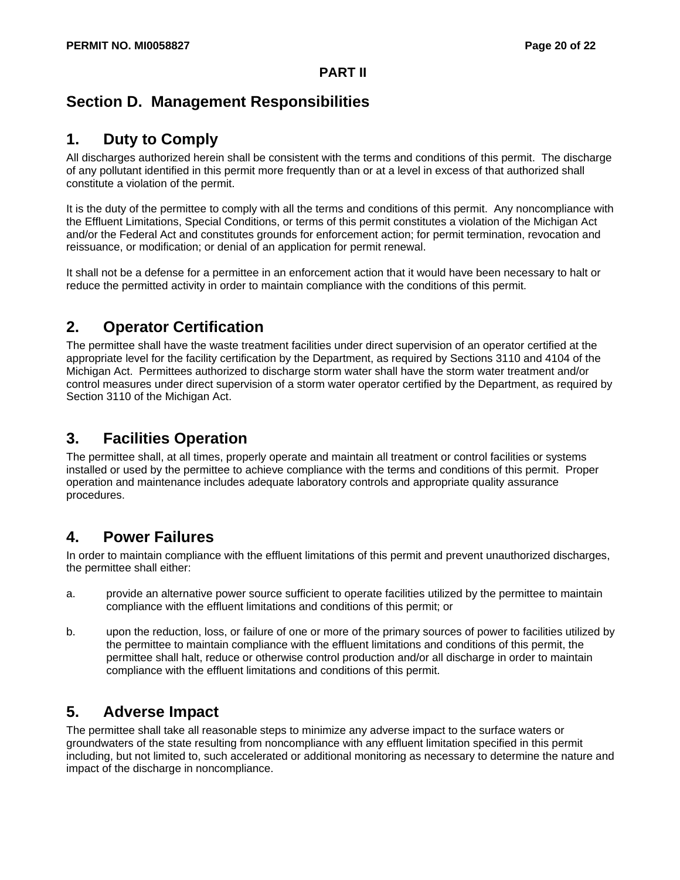# **Section D. Management Responsibilities**

# **1. Duty to Comply**

All discharges authorized herein shall be consistent with the terms and conditions of this permit. The discharge of any pollutant identified in this permit more frequently than or at a level in excess of that authorized shall constitute a violation of the permit.

It is the duty of the permittee to comply with all the terms and conditions of this permit. Any noncompliance with the Effluent Limitations, Special Conditions, or terms of this permit constitutes a violation of the Michigan Act and/or the Federal Act and constitutes grounds for enforcement action; for permit termination, revocation and reissuance, or modification; or denial of an application for permit renewal.

It shall not be a defense for a permittee in an enforcement action that it would have been necessary to halt or reduce the permitted activity in order to maintain compliance with the conditions of this permit.

### **2. Operator Certification**

The permittee shall have the waste treatment facilities under direct supervision of an operator certified at the appropriate level for the facility certification by the Department, as required by Sections 3110 and 4104 of the Michigan Act. Permittees authorized to discharge storm water shall have the storm water treatment and/or control measures under direct supervision of a storm water operator certified by the Department, as required by Section 3110 of the Michigan Act.

### **3. Facilities Operation**

The permittee shall, at all times, properly operate and maintain all treatment or control facilities or systems installed or used by the permittee to achieve compliance with the terms and conditions of this permit. Proper operation and maintenance includes adequate laboratory controls and appropriate quality assurance procedures.

### **4. Power Failures**

In order to maintain compliance with the effluent limitations of this permit and prevent unauthorized discharges, the permittee shall either:

- a. provide an alternative power source sufficient to operate facilities utilized by the permittee to maintain compliance with the effluent limitations and conditions of this permit; or
- b. upon the reduction, loss, or failure of one or more of the primary sources of power to facilities utilized by the permittee to maintain compliance with the effluent limitations and conditions of this permit, the permittee shall halt, reduce or otherwise control production and/or all discharge in order to maintain compliance with the effluent limitations and conditions of this permit.

### **5. Adverse Impact**

The permittee shall take all reasonable steps to minimize any adverse impact to the surface waters or groundwaters of the state resulting from noncompliance with any effluent limitation specified in this permit including, but not limited to, such accelerated or additional monitoring as necessary to determine the nature and impact of the discharge in noncompliance.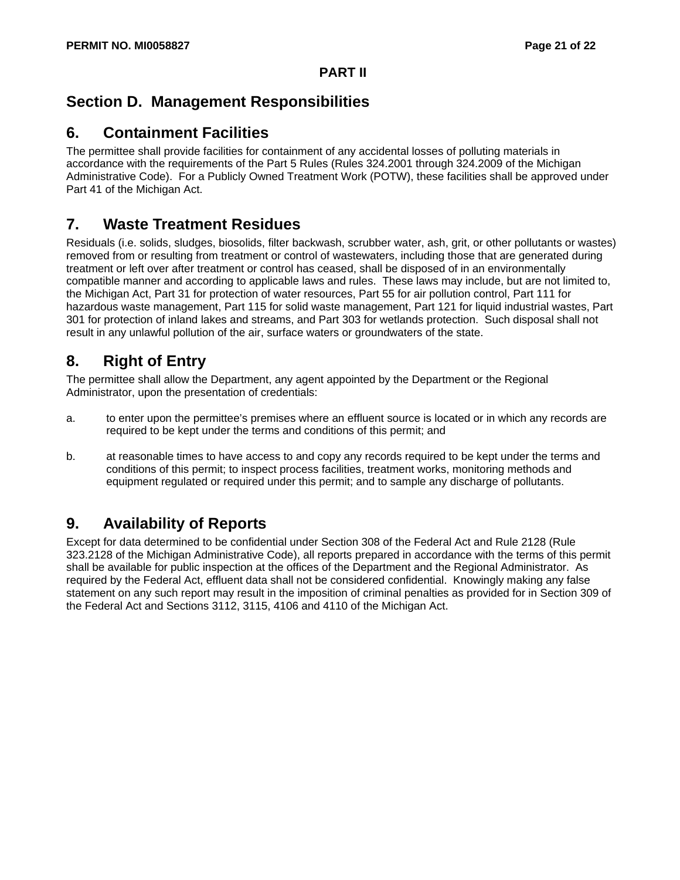# **Section D. Management Responsibilities**

# **6. Containment Facilities**

The permittee shall provide facilities for containment of any accidental losses of polluting materials in accordance with the requirements of the Part 5 Rules (Rules 324.2001 through 324.2009 of the Michigan Administrative Code). For a Publicly Owned Treatment Work (POTW), these facilities shall be approved under Part 41 of the Michigan Act.

# **7. Waste Treatment Residues**

Residuals (i.e. solids, sludges, biosolids, filter backwash, scrubber water, ash, grit, or other pollutants or wastes) removed from or resulting from treatment or control of wastewaters, including those that are generated during treatment or left over after treatment or control has ceased, shall be disposed of in an environmentally compatible manner and according to applicable laws and rules. These laws may include, but are not limited to, the Michigan Act, Part 31 for protection of water resources, Part 55 for air pollution control, Part 111 for hazardous waste management, Part 115 for solid waste management, Part 121 for liquid industrial wastes, Part 301 for protection of inland lakes and streams, and Part 303 for wetlands protection. Such disposal shall not result in any unlawful pollution of the air, surface waters or groundwaters of the state.

# **8. Right of Entry**

The permittee shall allow the Department, any agent appointed by the Department or the Regional Administrator, upon the presentation of credentials:

- a. to enter upon the permittee's premises where an effluent source is located or in which any records are required to be kept under the terms and conditions of this permit; and
- b. at reasonable times to have access to and copy any records required to be kept under the terms and conditions of this permit; to inspect process facilities, treatment works, monitoring methods and equipment regulated or required under this permit; and to sample any discharge of pollutants.

# **9. Availability of Reports**

Except for data determined to be confidential under Section 308 of the Federal Act and Rule 2128 (Rule 323.2128 of the Michigan Administrative Code), all reports prepared in accordance with the terms of this permit shall be available for public inspection at the offices of the Department and the Regional Administrator. As required by the Federal Act, effluent data shall not be considered confidential. Knowingly making any false statement on any such report may result in the imposition of criminal penalties as provided for in Section 309 of the Federal Act and Sections 3112, 3115, 4106 and 4110 of the Michigan Act.